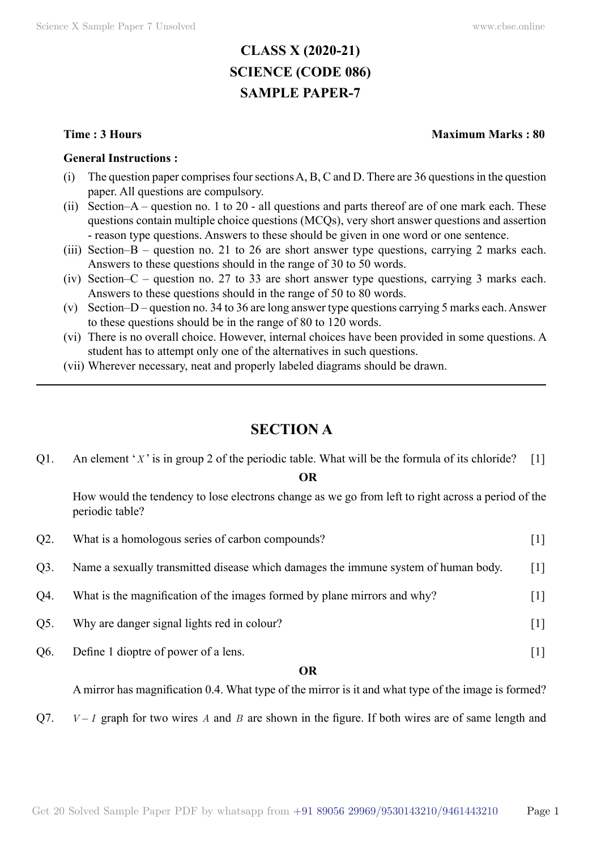# **CLASS X (2020-21) SCIENCE (CODE 086) SAMPLE PAPER-7**

#### **General Instructions :**

- (i) The question paper comprises four sections A, B, C and D. There are 36 questions in the question paper. All questions are compulsory.
- (ii) Section–A question no. 1 to 20 all questions and parts thereof are of one mark each. These questions contain multiple choice questions (MCQs), very short answer questions and assertion - reason type questions. Answers to these should be given in one word or one sentence.
- (iii) Section–B question no. 21 to 26 are short answer type questions, carrying 2 marks each. Answers to these questions should in the range of 30 to 50 words.
- (iv) Section–C question no. 27 to 33 are short answer type questions, carrying 3 marks each. Answers to these questions should in the range of 50 to 80 words.
- (v) Section–D question no. 34 to 36 are long answer type questions carrying 5 marks each. Answer to these questions should be in the range of 80 to 120 words.
- (vi) There is no overall choice. However, internal choices have been provided in some questions. A student has to attempt only one of the alternatives in such questions.
- (vii) Wherever necessary, neat and properly labeled diagrams should be drawn.

# **Section A**

Q1. An element '*X* ' is in group 2 of the periodic table. What will be the formula of its chloride? [1]

#### **O**

How would the tendency to lose electrons change as we go from left to right across a period of the periodic table?

|        | <b>OR</b>                                                                          |                              |
|--------|------------------------------------------------------------------------------------|------------------------------|
| Q6.    | Define 1 dioptre of power of a lens.                                               |                              |
| Q5.    | Why are danger signal lights red in colour?                                        |                              |
| Q4.    | What is the magnification of the images formed by plane mirrors and why?           | $\left\lceil 1 \right\rceil$ |
| Q3.    | Name a sexually transmitted disease which damages the immune system of human body. | $\lceil 1 \rceil$            |
| $Q2$ . | What is a homologous series of carbon compounds?                                   |                              |

A mirror has magnification 0.4. What type of the mirror is it and what type of the image is formed?

Q7.  $V-I$  graph for two wires A and B are shown in the figure. If both wires are of same length and

#### **Time : 3 Hours Maximum Marks : 80**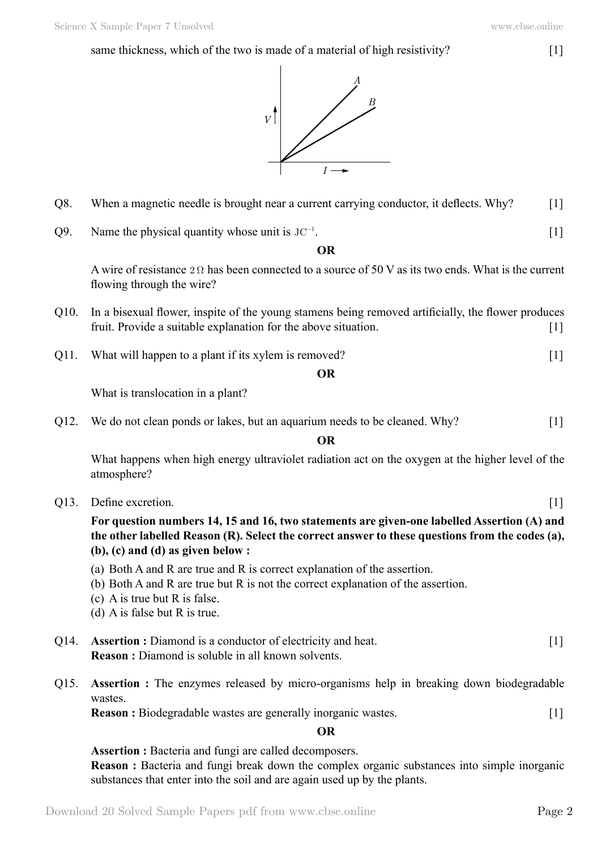## same thickness, which of the two is made of a material of high resistivity? [1]





- Q8. When a magnetic needle is brought near a current carrying conductor, it deflects. Why? [1]
- $Q9.$  Name the physical quantity whose unit is  $JC^{-1}$ . . The contract of the contract of  $[1]$

#### **O**

A wire of resistance 2  $\Omega$  has been connected to a source of 50 V as its two ends. What is the current flowing through the wire?

- Q10. In a bisexual flower, inspite of the young stamens being removed artificially, the flower produces fruit. Provide a suitable explanation for the above situation. [1]
- Q11. What will happen to a plant if its xylem is removed? [1]

 **O**

What is translocation in a plant?

Q12. We do not clean ponds or lakes, but an aquarium needs to be cleaned. Why? [1]

 **O**

What happens when high energy ultraviolet radiation act on the oxygen at the higher level of the atmosphere?

- Q13. Define excretion. [1]
	- **For question numbers 14, 15 and 16, two statements are given-one labelled Assertion (A) and the other labelled Reason (R). Select the correct answer to these questions from the codes (a), (b), (c) and (d) as given below :**
	- (a) Both A and R are true and R is correct explanation of the assertion.
	- (b) Both A and R are true but R is not the correct explanation of the assertion.
	- (c) A is true but R is false.
	- (d) A is false but R is true.
- Q14. **Assertion :** Diamond is a conductor of electricity and heat. [1] **Reason :** Diamond is soluble in all known solvents.
- Q15. **Assertion :** The enzymes released by micro-organisms help in breaking down biodegradable wastes.

**Reason :** Biodegradable wastes are generally inorganic wastes. [1]

### **O**

**Assertion :** Bacteria and fungi are called decomposers. **Reason :** Bacteria and fungi break down the complex organic substances into simple inorganic substances that enter into the soil and are again used up by the plants.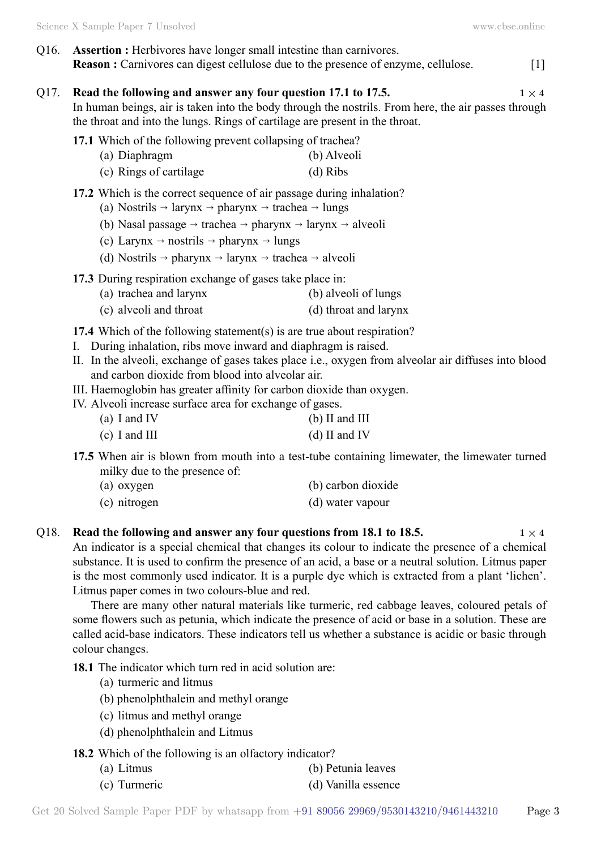Q16. **Assertion :** Herbivores have longer small intestine than carnivores. **Reason :** Carnivores can digest cellulose due to the presence of enzyme, cellulose. [1]

## Q17. **Read the following and answer any four question 17.1 to 17.5.**  $1 \times 4$

In human beings, air is taken into the body through the nostrils. From here, the air passes through the throat and into the lungs. Rings of cartilage are present in the throat.

- **17.1** Which of the following prevent collapsing of trachea?
	- (a) Diaphragm (b) Alveoli
	- (c) Rings of cartilage (d) Ribs
- **17.2** Which is the correct sequence of air passage during inhalation?
	- (a) Nostrils  $\rightarrow$  larynx  $\rightarrow$  pharynx  $\rightarrow$  trachea  $\rightarrow$  lungs
	- (b) Nasal passage  $\rightarrow$  trachea  $\rightarrow$  pharynx  $\rightarrow$  larynx  $\rightarrow$  alveoli
	- (c) Larynx  $\rightarrow$  nostrils  $\rightarrow$  pharynx  $\rightarrow$  lungs
	- (d) Nostrils  $\rightarrow$  pharynx  $\rightarrow$  larynx  $\rightarrow$  trachea  $\rightarrow$  alveoli
- **17.3** During respiration exchange of gases take place in:
	- (a) trachea and larynx (b) alveoli of lungs
	- (c) alveoli and throat (d) throat and larynx
- **17.4** Which of the following statement(s) is are true about respiration?
- I. During inhalation, ribs move inward and diaphragm is raised.
- II. In the alveoli, exchange of gases takes place i.e., oxygen from alveolar air diffuses into blood and carbon dioxide from blood into alveolar air.
- III. Haemoglobin has greater affinity for carbon dioxide than oxygen.
- IV. Alveoli increase surface area for exchange of gases.
	- (a) I and IV (b) II and III (c) I and III (d) II and IV
- **17.5** When air is blown from mouth into a test-tube containing limewater, the limewater turned milky due to the presence of:
	- (a) oxygen (b) carbon dioxide
	- (c) nitrogen (d) water vapour

# Q18. **Read the following and answer any four questions from 18.1 to 18.5.**  $1 \times 4$

An indicator is a special chemical that changes its colour to indicate the presence of a chemical substance. It is used to confirm the presence of an acid, a base or a neutral solution. Litmus paper is the most commonly used indicator. It is a purple dye which is extracted from a plant 'lichen'. Litmus paper comes in two colours-blue and red.

There are many other natural materials like turmeric, red cabbage leaves, coloured petals of some flowers such as petunia, which indicate the presence of acid or base in a solution. These are called acid-base indicators. These indicators tell us whether a substance is acidic or basic through colour changes.

**18.1** The indicator which turn red in acid solution are:

- (a) turmeric and litmus
- (b) phenolphthalein and methyl orange
- (c) litmus and methyl orange
- (d) phenolphthalein and Litmus

## **18.2** Which of the following is an olfactory indicator?

- (a) Litmus (b) Petunia leaves
- (c) Turmeric (d) Vanilla essence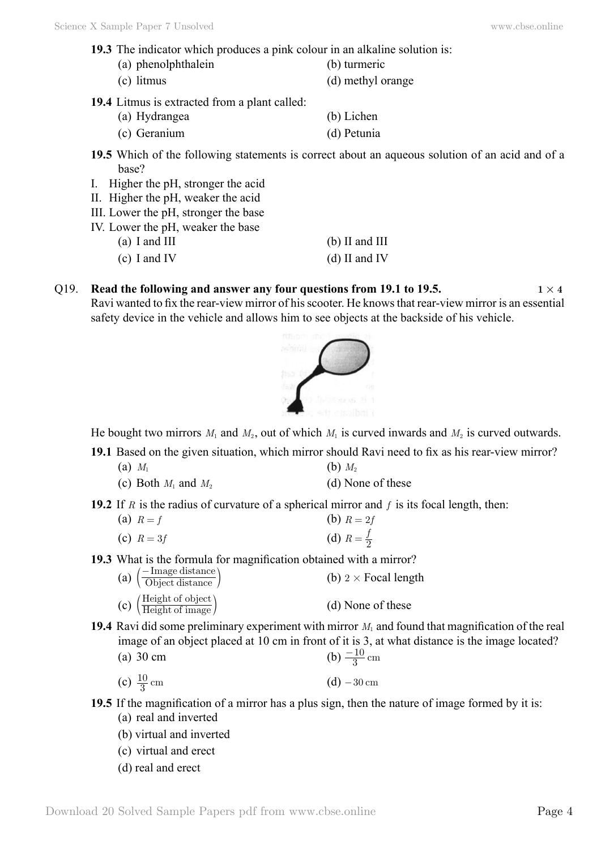- **19.3** The indicator which produces a pink colour in an alkaline solution is:
	- (a) phenolphthalein (b) turmeric
	- (c) litmus (d) methyl orange
		-
- **19.4** Litmus is extracted from a plant called:
	- (a) Hydrangea (b) Lichen (c) Geranium (d) Petunia
- **19.5** Which of the following statements is correct about an aqueous solution of an acid and of a base?
- I. Higher the pH, stronger the acid
- II. Higher the pH, weaker the acid
- III. Lower the pH, stronger the base
- IV. Lower the pH, weaker the base
	- (a) I and III (b) II and III
	- (c) I and IV (d) II and IV
- Q19. **Read the following and answer any four questions from 19.1 to 19.5.**  $1 \times 4$ Ravi wanted to fix the rear-view mirror of his scooter. He knows that rear-view mirror is an essential safety device in the vehicle and allows him to see objects at the backside of his vehicle.



He bought two mirrors  $M_1$  and  $M_2$ , out of which  $M_1$  is curved inwards and  $M_2$  is curved outwards.

**19.1** Based on the given situation, which mirror should Ravi need to fix as his rear-view mirror?

- (a)  $M_1$  (b)  $M_2$
- (c) Both  $M_1$  and  $M_2$  (d) None of these

**19.2** If *R* is the radius of curvature of a spherical mirror and *f* is its focal length, then:

| (a) $R = f$ | (b) $R = 2f$          |
|-------------|-----------------------|
| (c) $R=3f$  | (d) $R = \frac{f}{2}$ |

**19.3** What is the formula for magnification obtained with a mirror?

| (a) $\left(\frac{-\text{Image distance}}{\text{Object distance}}\right)$  | (b) $2 \times$ Focal length |
|---------------------------------------------------------------------------|-----------------------------|
| (c) $\left(\frac{\text{Height of object}}{\text{Height of image}}\right)$ | (d) None of these           |

- **19.4** Ravi did some preliminary experiment with mirror  $M_1$  and found that magnification of the real image of an object placed at 10 cm in front of it is 3, at what distance is the image located?
	- (a) 30 cm (b)  $\frac{-10}{3}$  cm
	- (c)  $\frac{10}{3}$  cm  $(d) -30$  cm

**19.5** If the magnification of a mirror has a plus sign, then the nature of image formed by it is:

- (a) real and inverted
- (b) virtual and inverted
- (c) virtual and erect
- (d) real and erect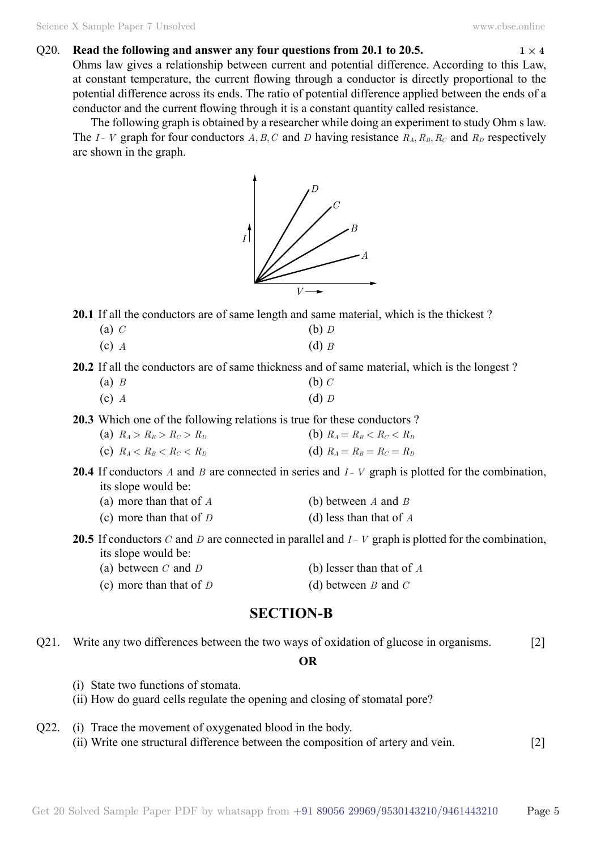#### O20. **Read the following and answer any four questions from 20.1 to 20.5.**  $1 \times 4$

Ohms law gives a relationship between current and potential difference. According to this Law, at constant temperature, the current flowing through a conductor is directly proportional to the potential difference across its ends. The ratio of potential difference applied between the ends of a conductor and the current flowing through it is a constant quantity called resistance.

The following graph is obtained by a researcher while doing an experiment to study Ohm s law. The *I*- *V* graph for four conductors *A*, *B*, *C* and *D* having resistance  $R_A$ ,  $R_B$ ,  $R_C$  and  $R_D$  respectively are shown in the graph.



**20.1** If all the conductors are of same length and same material, which is the thickest ?

- (a) *C* (b) *D*
- (c) *A* (d) *B*

**20.2** If all the conductors are of same thickness and of same material, which is the longest ?

- (a) *B* (b) *C*
- (c) *A* (d) *D*
- **20.3** Which one of the following relations is true for these conductors ?

| (a) $R_A > R_B > R_C > R_D$ | (b) $R_A = R_B < R_C < R_D$ |
|-----------------------------|-----------------------------|
| (c) $R_A < R_B < R_C < R_D$ | (d) $R_A = R_B = R_C = R_D$ |

- **20.4** If conductors *A* and *B* are connected in series and *I V* graph is plotted for the combination, its slope would be:
	- (a) more than that of *A* (b) between *A* and *B*
	- (c) more than that of *D* (d) less than that of *A*
- **20.5** If conductors *C* and *D* are connected in parallel and  $I V$  graph is plotted for the combination, its slope would be:
	- (a) between *C* and *D* (b) lesser than that of *A*
	- (c) more than that of *D* (d) between *B* and *C*

# **Section-B**

Q21. Write any two differences between the two ways of oxidation of glucose in organisms. [2]

 **O**

- (i) State two functions of stomata.
- (ii) How do guard cells regulate the opening and closing of stomatal pore?
- Q22. (i) Trace the movement of oxygenated blood in the body. (ii) Write one structural difference between the composition of artery and vein. [2]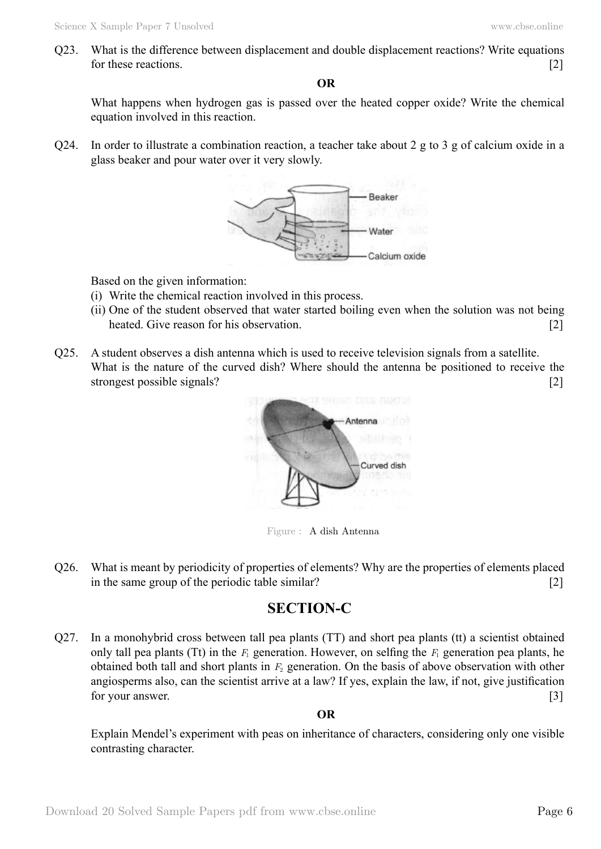Q23. What is the difference between displacement and double displacement reactions? Write equations for these reactions. [2]

 **O**

What happens when hydrogen gas is passed over the heated copper oxide? Write the chemical equation involved in this reaction.

Q24. In order to illustrate a combination reaction, a teacher take about 2 g to 3 g of calcium oxide in a glass beaker and pour water over it very slowly.



Based on the given information:

- (i) Write the chemical reaction involved in this process.
- (ii) One of the student observed that water started boiling even when the solution was not being heated. Give reason for his observation. [2]
- Q25. A student observes a dish antenna which is used to receive television signals from a satellite. What is the nature of the curved dish? Where should the antenna be positioned to receive the strongest possible signals? [2]



Figure : A dish Antenna

Q26. What is meant by periodicity of properties of elements? Why are the properties of elements placed in the same group of the periodic table similar? [2]

# **Section-C**

Q27. In a monohybrid cross between tall pea plants (TT) and short pea plants (tt) a scientist obtained only tall pea plants (Tt) in the  $F_1$  generation. However, on selfing the  $F_1$  generation pea plants, he obtained both tall and short plants in *F*2 generation. On the basis of above observation with other angiosperms also, can the scientist arrive at a law? If yes, explain the law, if not, give justification for your answer. [3]

## **O**

Explain Mendel's experiment with peas on inheritance of characters, considering only one visible contrasting character.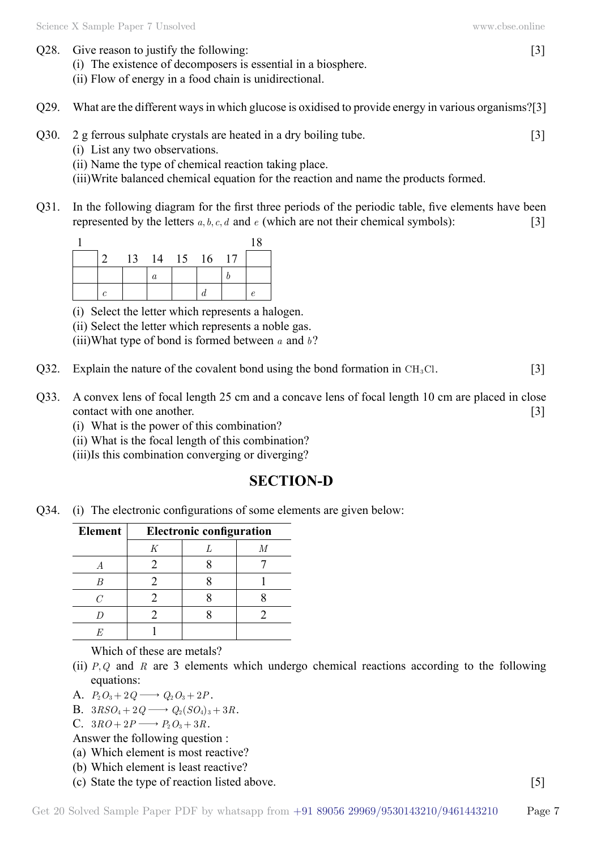- (i) The existence of decomposers is essential in a biosphere.
- (ii) Flow of energy in a food chain is unidirectional.
- Q29. What are the different ways in which glucose is oxidised to provide energy in various organisms?[3]
- Q30. 2 g ferrous sulphate crystals are heated in a dry boiling tube.  $[3]$ 
	- (i) List any two observations.
	- (ii) Name the type of chemical reaction taking place.
	- (iii)Write balanced chemical equation for the reaction and name the products formed.
- Q31. In the following diagram for the first three periods of the periodic table, five elements have been represented by the letters  $a, b, c, d$  and  $e$  (which are not their chemical symbols): [3]

|  |                |   |  | 18 |
|--|----------------|---|--|----|
|  | 13 14 15 16 17 |   |  |    |
|  |                | a |  |    |
|  |                |   |  |    |

(i) Select the letter which represents a halogen.

(ii) Select the letter which represents a noble gas.

(iii)What type of bond is formed between *a* and *b*?

- Q32. Explain the nature of the covalent bond using the bond formation in  $CH<sub>3</sub>Cl$ . [3]
- Q33. A convex lens of focal length 25 cm and a concave lens of focal length 10 cm are placed in close contact with one another. [3]
	- (i) What is the power of this combination?
	- (ii) What is the focal length of this combination?
	- (iii)Is this combination converging or diverging?

# **Section-D**

Q34. (i) The electronic configurations of some elements are given below:

| <b>Element</b> | <b>Electronic configuration</b> |  |   |  |
|----------------|---------------------------------|--|---|--|
|                | Κ                               |  | M |  |
|                |                                 |  |   |  |
| R              |                                 |  |   |  |
|                |                                 |  |   |  |
|                |                                 |  |   |  |
|                |                                 |  |   |  |

Which of these are metals?

- (ii) *P*, *Q* and *R* are 3 elements which undergo chemical reactions according to the following equations:
- A.  $P_2O_3 + 2Q \longrightarrow Q_2O_3 + 2P$ .
- B.  $3RSO_4 + 2Q \longrightarrow Q_2(SO_4)_3 + 3R$ .
- C.  $3RO + 2P \longrightarrow P_2O_3 + 3R$ .
- Answer the following question :
- (a) Which element is most reactive?
- (b) Which element is least reactive?
- (c) State the type of reaction listed above. [5]

Get 20 Solved Sample Paper PDF by whatsapp from  $+91\,89056\,29969/9530143210/9461443210$  Page 7